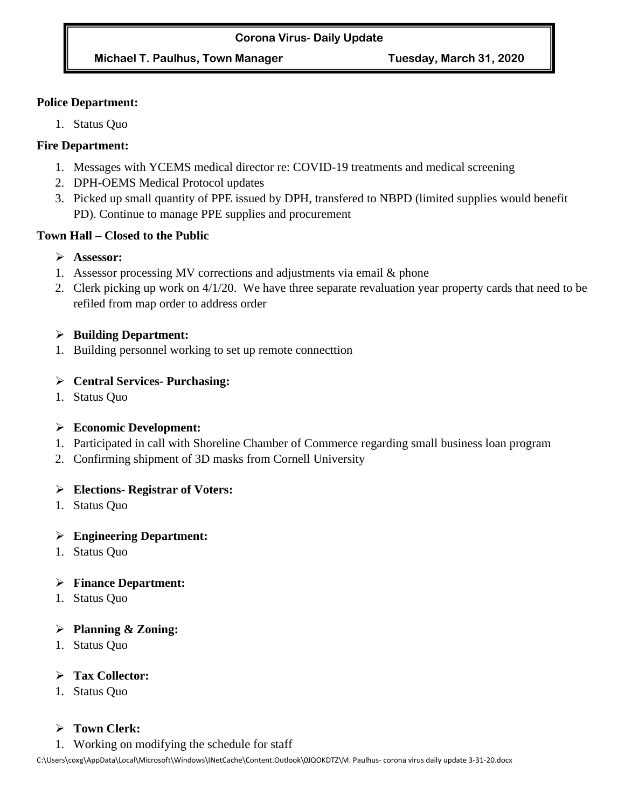### **Police Department:**

1. Status Quo

## **Fire Department:**

- 1. Messages with YCEMS medical director re: COVID-19 treatments and medical screening
- 2. DPH-OEMS Medical Protocol updates
- 3. Picked up small quantity of PPE issued by DPH, transfered to NBPD (limited supplies would benefit PD). Continue to manage PPE supplies and procurement

## **Town Hall – Closed to the Public**

- ➢ **Assessor:**
- 1. Assessor processing MV corrections and adjustments via email & phone
- 2. Clerk picking up work on 4/1/20. We have three separate revaluation year property cards that need to be refiled from map order to address order

## ➢ **Building Department:**

1. Building personnel working to set up remote connecttion

## ➢ **Central Services- Purchasing:**

1. Status Quo

# ➢ **Economic Development:**

- 1. Participated in call with Shoreline Chamber of Commerce regarding small business loan program
- 2. Confirming shipment of 3D masks from Cornell University

## ➢ **Elections- Registrar of Voters:**

1. Status Quo

## ➢ **Engineering Department:**

1. Status Quo

# ➢ **Finance Department:**

1. Status Quo

## ➢ **Planning & Zoning:**

1. Status Quo

## ➢ **Tax Collector:**

1. Status Quo

# ➢ **Town Clerk:**

1. Working on modifying the schedule for staff

C:\Users\coxg\AppData\Local\Microsoft\Windows\INetCache\Content.Outlook\0JQOKDTZ\M. Paulhus- corona virus daily update 3-31-20.docx